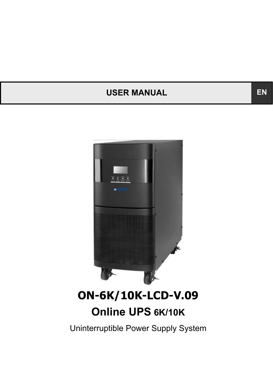# USER MANUAL **EN**



# **ON-6K/10K-LCD-V.09 Online UPS 6K/10K**

Uninterruptible Power Supply System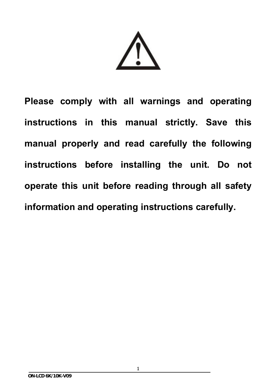**Please comply with all warnings and operating instructions in this manual strictly. Save this manual properly and read carefully the following instructions before installing the unit. Do not operate this unit before reading through all safety information and operating instructions carefully.**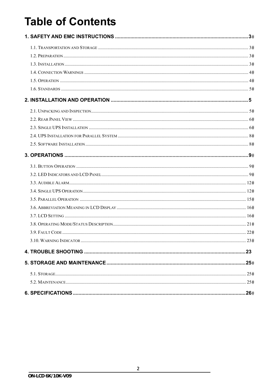# **Table of Contents**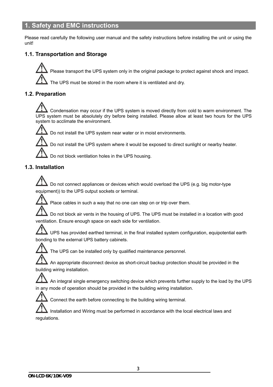# **1. Safety and EMC instructions**

Please read carefully the following user manual and the safety instructions before installing the unit or using the unit!

# **1.1. Transportation and Storage**

Please transport the UPS system only in the original package to protect against shock and impact.

The UPS must be stored in the room where it is ventilated and dry.

# **1.2. Preparation**

 Condensation may occur if the UPS system is moved directly from cold to warm environment. The UPS system must be absolutely dry before being installed. Please allow at least two hours for the UPS system to acclimate the environment.



Do not install the UPS system near water or in moist environments.

Do not install the UPS system where it would be exposed to direct sunlight or nearby heater.

Do not block ventilation holes in the UPS housing.

# **1.3. Installation**

 Do not connect appliances or devices which would overload the UPS (e.g. big motor-type equipment)) to the UPS output sockets or terminal.



Place cables in such a way that no one can step on or trip over them.

 Do not block air vents in the housing of UPS. The UPS must be installed in a location with good ventilation. Ensure enough space on each side for ventilation.

 UPS has provided earthed terminal, in the final installed system configuration, equipotential earth bonding to the external UPS battery cabinets.



The UPS can be installed only by qualified maintenance personnel.

 An appropriate disconnect device as short-circuit backup protection should be provided in the building wiring installation.

 An integral single emergency switching device which prevents further supply to the load by the UPS in any mode of operation should be provided in the building wiring installation.



Connect the earth before connecting to the building wiring terminal.

 Installation and Wiring must be performed in accordance with the local electrical laws and regulations.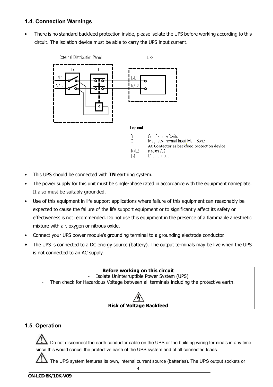# **1.4. Connection Warnings**

• There is no standard backfeed protection inside, please isolate the UPS before working according to this circuit. The isolation device must be able to carry the UPS input current.



- This UPS should be connected with **TN** earthing system.
- The power supply for this unit must be single-phase rated in accordance with the equipment nameplate. It also must be suitably grounded.
- Use of this equipment in life support applications where failure of this equipment can reasonably be expected to cause the failure of the life support equipment or to significantly affect its safety or effectiveness is not recommended. Do not use this equipment in the presence of a flammable anesthetic mixture with air, oxygen or nitrous oxide.
- Connect your UPS power module's grounding terminal to a grounding electrode conductor.
- The UPS is connected to a DC energy source (battery). The output terminals may be live when the UPS is not connected to an AC supply.

# **Before working on this circuit**  Isolate Uninterruptible Power System (UPS) Then check for Hazardous Voltage between all terminals including the protective earth. **Risk of Voltage Backfeed**

# **1.5. Operation**

 Do not disconnect the earth conductor cable on the UPS or the building wiring terminals in any time since this would cancel the protective earth of the UPS system and of all connected loads.

The UPS system features its own, internal current source (batteries). The UPS output sockets or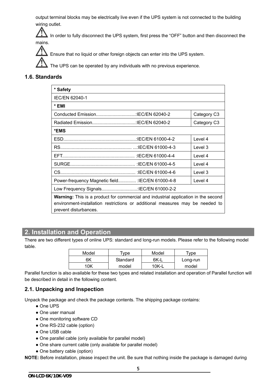output terminal blocks may be electrically live even if the UPS system is not connected to the building wiring outlet.

 In order to fully disconnect the UPS system, first press the "OFF" button and then disconnect the mains.

Ensure that no liquid or other foreign objects can enter into the UPS system.

The UPS can be operated by any individuals with no previous experience.

# **1.6. Standards**

| * Safety                                                                                                                                                                                            |             |  |
|-----------------------------------------------------------------------------------------------------------------------------------------------------------------------------------------------------|-------------|--|
| <b>IEC/EN 62040-1</b>                                                                                                                                                                               |             |  |
| * EMI                                                                                                                                                                                               |             |  |
|                                                                                                                                                                                                     | Category C3 |  |
|                                                                                                                                                                                                     | Category C3 |  |
| *EMS                                                                                                                                                                                                |             |  |
|                                                                                                                                                                                                     | Level 4     |  |
|                                                                                                                                                                                                     | Level 3     |  |
|                                                                                                                                                                                                     | Level 4     |  |
|                                                                                                                                                                                                     | Level 4     |  |
|                                                                                                                                                                                                     | Level 3     |  |
| Power-frequency Magnetic field : IEC/EN 61000-4-8                                                                                                                                                   | Level 4     |  |
|                                                                                                                                                                                                     |             |  |
| <b>Warning:</b> This is a product for commercial and industrial application in the second<br>environment-installation restrictions or additional measures may be needed to<br>prevent disturbances. |             |  |

# **2. Installation and Operation**

There are two different types of online UPS: standard and long-run models. Please refer to the following model table.

| Model | $\tau$ vpe | Model   | vpe      |
|-------|------------|---------|----------|
| 6K    | Standard   | 6K-I    | Long-run |
| nĸ    | model      | $10K-L$ | model    |

Parallel function is also available for these two types and related installation and operation of Parallel function will be described in detail in the following content.

# **2.1. Unpacking and Inspection**

Unpack the package and check the package contents. The shipping package contains:

- One UPS
- One user manual
- One monitoring software CD
- One RS-232 cable (option)
- One USB cable
- One parallel cable (only available for parallel model)
- One share current cable (only available for parallel model)
- One battery cable (option)

**NOTE:** Before installation, please inspect the unit. Be sure that nothing inside the package is damaged during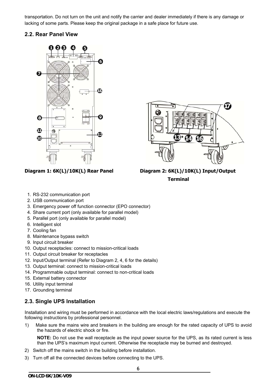transportation. Do not turn on the unit and notify the carrier and dealer immediately if there is any damage or lacking of some parts. Please keep the original package in a safe place for future use.

# **2.2. Rear Panel View**





**Diagram 1: 6K(L)/10K(L) Rear Panel Diagram 2: 6K(L)/10K(L) Input/Output Terminal** 

- 1. RS-232 communication port
- 2. USB communication port
- 3. Emergency power off function connector (EPO connector)
- 4. Share current port (only available for parallel model)
- 5. Parallel port (only available for parallel model)
- 6. Intelligent slot
- 7. Cooling fan
- 8. Maintenance bypass switch
- 9. Input circuit breaker
- 10. Output receptacles: connect to mission-critical loads
- 11. Output circuit breaker for receptacles
- 12. Input/Output terminal (Refer to Diagram 2, 4, 6 for the details)
- 13. Output terminal: connect to mission-critical loads
- 14. Programmable output terminal: connect to non-critical loads
- 15. External battery connector
- 16. Utility input terminal
- 17. Grounding terminal

# **2.3. Single UPS Installation**

Installation and wiring must be performed in accordance with the local electric laws/regulations and execute the following instructions by professional personnel.

1) Make sure the mains wire and breakers in the building are enough for the rated capacity of UPS to avoid the hazards of electric shock or fire.

**NOTE:** Do not use the wall receptacle as the input power source for the UPS, as its rated current is less than the UPS's maximum input current. Otherwise the receptacle may be burned and destroyed.

- 2) Switch off the mains switch in the building before installation.
- 3) Turn off all the connected devices before connecting to the UPS.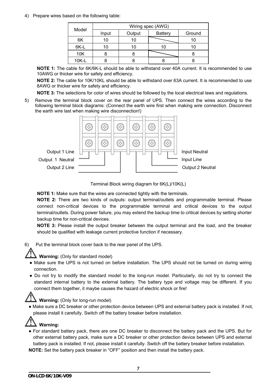4) Prepare wires based on the following table:

|       | Wiring spec (AWG) |        |                |        |
|-------|-------------------|--------|----------------|--------|
| Model | Input             | Output | <b>Battery</b> | Ground |
| 6K    | 10                |        |                |        |
| 6K-L  | 10                |        | 10             | 10     |
| 10K   | n                 |        |                |        |
| 10K-L |                   |        |                |        |

**NOTE 1:** The cable for 6K/6K-L should be able to withstand over 40A current. It is recommended to use 10AWG or thicker wire for safety and efficiency.

**NOTE 2:** The cable for 10K/10KL should be able to withstand over 63A current. It is recommended to use 8AWG or thicker wire for safety and efficiency.

**NOTE 3:** The selections for color of wires should be followed by the local electrical laws and regulations.

5) Remove the terminal block cover on the rear panel of UPS. Then connect the wires according to the following terminal block diagrams: (Connect the earth wire first when making wire connection. Disconnect the earth wire last when making wire disconnection!)



Terminal Block wiring diagram for 6K(L)/10K(L)

**NOTE 1:** Make sure that the wires are connected tightly with the terminals.

**NOTE 2:** There are two kinds of outputs: output terminal/outlets and programmable terminal. Please connect non-critical devices to the programmable terminal and critical devices to the output terminal/outlets. During power failure, you may extend the backup time to critical devices by setting shorter backup time for non-critical devices.

**NOTE 3:** Please install the output breaker between the output terminal and the load, and the breaker should be qualified with leakage current protective function if necessary.

6) Put the terminal block cover back to the rear panel of the UPS.



**Warning:** (Only for standard model)

- Make sure the UPS is not turned on before installation. The UPS should not be turned on during wiring connection.
- Do not try to modify the standard model to the long-run model. Particularly, do not try to connect the standard internal battery to the external battery. The battery type and voltage may be different. If you connect them together, it maybe causes the hazard of electric shock or fire!

# **Warning:** (Only for long-run model)

● Make sure a DC breaker or other protection device between UPS and external battery pack is installed. If not, please install it carefully. Switch off the battery breaker before installation.

# **Warning:**

● For standard battery pack, there are one DC breaker to disconnect the battery pack and the UPS. But for other external battery pack, make sure a DC breaker or other protection device between UPS and external battery pack is installed. If not, please install it carefully. Switch off the battery breaker before installation.

**NOTE:** Set the battery pack breaker in "OFF" position and then install the battery pack.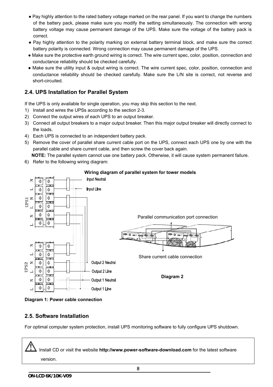- Pay highly attention to the rated battery voltage marked on the rear panel. If you want to change the numbers of the battery pack, please make sure you modify the setting simultaneously. The connection with wrong battery voltage may cause permanent damage of the UPS. Make sure the voltage of the battery pack is correct.
- Pay highly attention to the polarity marking on external battery terminal block, and make sure the correct battery polarity is connected. Wrong connection may cause permanent damage of the UPS.
- Make sure the protective earth ground wiring is correct. The wire current spec, color, position, connection and conductance reliability should be checked carefully.
- Make sure the utility input & output wiring is correct. The wire current spec, color, position, connection and conductance reliability should be checked carefully. Make sure the L/N site is correct, not reverse and short-circuited.

# **2.4. UPS Installation for Parallel System**

If the UPS is only available for single operation, you may skip this section to the next.

- 1) Install and wires the UPSs according to the section 2-3.
- 2) Connect the output wires of each UPS to an output breaker.
- 3) Connect all output breakers to a major output breaker. Then this major output breaker will directly connect to the loads.
- 4) Each UPS is connected to an independent battery pack.
- 5) Remove the cover of parallel share current cable port on the UPS, connect each UPS one by one with the parallel cable and share current cable, and then screw the cover back again.

 **NOTE:** The parallel system cannot use one battery pack. Otherwise, it will cause system permanent failure.

6) Refer to the following wiring diagram:



# **Wiring diagram of parallel system for tower models**

**Diagram 1: Power cable connection** 

# **2.5. Software Installation**

For optimal computer system protection, install UPS monitoring software to fully configure UPS shutdown.

 Install CD or visit the website **http://www.power-software-download.com** for the latest software version.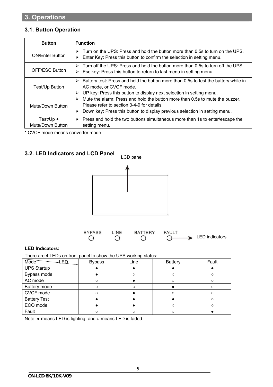# **3.1. Button Operation**

| <b>Button</b>                 | <b>Function</b>                                                                                                                                                                                                    |
|-------------------------------|--------------------------------------------------------------------------------------------------------------------------------------------------------------------------------------------------------------------|
| <b>ON/Enter Button</b>        | Turn on the UPS: Press and hold the button more than 0.5s to turn on the UPS.<br>➤<br>$\triangleright$ Enter Key: Press this button to confirm the selection in setting menu.                                      |
| <b>OFF/ESC Button</b>         | Turn off the UPS: Press and hold the button more than 0.5s to turn off the UPS.<br>↘<br>$\triangleright$ Esc key: Press this button to return to last menu in setting menu.                                        |
| Test/Up Button                | Battery test: Press and hold the button more than 0.5s to test the battery while in<br>➤<br>AC mode, or CVCF mode.<br>UP key: Press this button to display next selection in setting menu.<br>➤                    |
| Mute/Down Button              | Mute the alarm: Press and hold the button more than 0.5s to mute the buzzer.<br>➤<br>Please refer to section 3-4-9 for details.<br>Down key: Press this button to display previous selection in setting menu.<br>≻ |
| Test/Up +<br>Mute/Down Button | $\triangleright$ Press and hold the two buttons simultaneous more than 1s to enter/escape the<br>setting menu.                                                                                                     |

\* CVCF mode means converter mode.

# **3.2. LED Indicators and LCD Panel**





#### **LED Indicators:**

There are 4 LEDs on front panel to show the UPS working status:

| Mode<br>ΕD          | <b>Bypass</b> | Line | <b>Battery</b> | Fault |
|---------------------|---------------|------|----------------|-------|
| <b>UPS Startup</b>  |               |      |                |       |
| Bypass mode         |               |      |                |       |
| AC mode             |               |      |                |       |
| Battery mode        |               |      |                |       |
| CVCF mode           |               |      |                |       |
| <b>Battery Test</b> |               |      |                |       |
| ECO mode            |               |      |                |       |
| Fault               |               |      |                |       |

Note: ● means LED is lighting, and ○ means LED is faded.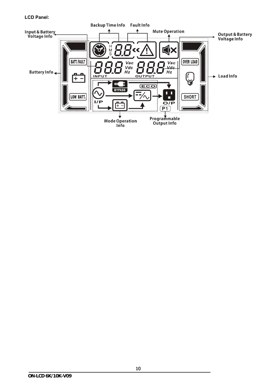#### **LCD Panel:**

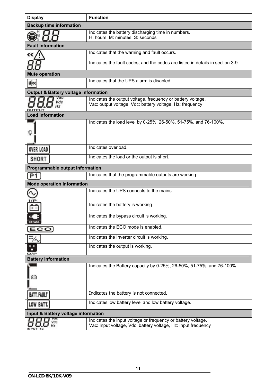| <b>Display</b>                                  | <b>Function</b>                                                                                                               |  |  |  |
|-------------------------------------------------|-------------------------------------------------------------------------------------------------------------------------------|--|--|--|
| <b>Backup time information</b>                  |                                                                                                                               |  |  |  |
|                                                 | Indicates the battery discharging time in numbers.<br>H: hours, M: minutes, S: seconds                                        |  |  |  |
| <b>Fault information</b>                        |                                                                                                                               |  |  |  |
|                                                 | Indicates that the warning and fault occurs.                                                                                  |  |  |  |
|                                                 | Indicates the fault codes, and the codes are listed in details in section 3-9.                                                |  |  |  |
| <b>Mute operation</b>                           |                                                                                                                               |  |  |  |
| Щ×                                              | Indicates that the UPS alarm is disabled.                                                                                     |  |  |  |
| <b>Output &amp; Battery voltage information</b> |                                                                                                                               |  |  |  |
|                                                 | Indicates the output voltage, frequency or battery voltage.<br>Vac: output voltage, Vdc: battery voltage, Hz: frequency       |  |  |  |
| <b>Load information</b>                         |                                                                                                                               |  |  |  |
|                                                 | Indicates the load level by 0-25%, 26-50%, 51-75%, and 76-100%.                                                               |  |  |  |
| <b>OVER LOAD</b>                                | Indicates overload.                                                                                                           |  |  |  |
| <b>SHORT</b>                                    | Indicates the load or the output is short.                                                                                    |  |  |  |
| Programmable output information                 |                                                                                                                               |  |  |  |
|                                                 | Indicates that the programmable outputs are working.                                                                          |  |  |  |
| <b>Mode operation information</b>               |                                                                                                                               |  |  |  |
|                                                 | Indicates the UPS connects to the mains.                                                                                      |  |  |  |
|                                                 | Indicates the battery is working.                                                                                             |  |  |  |
| <b>BYPASS</b>                                   | Indicates the bypass circuit is working.                                                                                      |  |  |  |
| ECO                                             | Indicates the ECO mode is enabled.                                                                                            |  |  |  |
|                                                 | Indicates the Inverter circuit is working.                                                                                    |  |  |  |
|                                                 | Indicates the output is working.                                                                                              |  |  |  |
| <b>Battery information</b>                      |                                                                                                                               |  |  |  |
|                                                 | Indicates the Battery capacity by 0-25%, 26-50%, 51-75%, and 76-100%.                                                         |  |  |  |
| <b>BATT, FAULT</b>                              | Indicates the battery is not connected.                                                                                       |  |  |  |
| <b>LOW BATT</b>                                 | Indicates low battery level and low battery voltage.                                                                          |  |  |  |
| Input & Battery voltage information             |                                                                                                                               |  |  |  |
|                                                 | Indicates the input voltage or frequency or battery voltage.<br>Vac: Input voltage, Vdc: battery voltage, Hz: input frequency |  |  |  |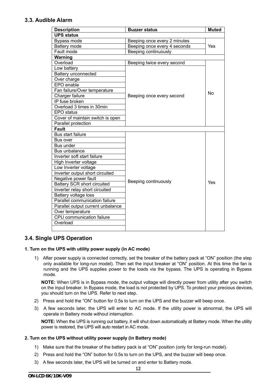# **3.3. Audible Alarm**

| <b>Description</b>                 | <b>Buzzer status</b>         | <b>Muted</b> |
|------------------------------------|------------------------------|--------------|
| <b>UPS status</b>                  |                              |              |
| Bypass mode                        | Beeping once every 2 minutes |              |
| Battery mode                       | Beeping once every 4 seconds | Yes          |
| Fault mode                         | Beeping continuously         |              |
| Warning                            |                              |              |
| Overload                           | Beeping twice every second   |              |
| Low battery                        |                              |              |
| <b>Battery unconnected</b>         |                              |              |
| Over charge                        |                              |              |
| EPO enable                         |                              |              |
| Fan failure/Over temperature       |                              | No           |
| Charger failure                    | Beeping once every second    |              |
| IP fuse broken                     |                              |              |
| Overload 3 times in 30min          |                              |              |
| <b>EPO</b> status                  |                              |              |
| Cover of maintain switch is open   |                              |              |
| Parallel protection                |                              |              |
| <b>Fault</b>                       |                              |              |
| Bus start failure                  |                              |              |
| Bus over                           |                              |              |
| <b>Bus under</b>                   |                              |              |
| Bus unbalance                      |                              |              |
| Inverter soft start failure        |                              |              |
| High Inverter voltage              |                              |              |
| Low Inverter voltage               |                              |              |
| Inverter output short circuited    |                              |              |
| Negative power fault               | Beeping continuously         |              |
| <b>Battery SCR short circuited</b> |                              | Yes          |
| Inverter relay short circuited     |                              |              |
| Battery voltage loss               |                              |              |
| Parallel communication failure     |                              |              |
| Parallel output current unbalance  |                              |              |
| Over temperature                   |                              |              |
| <b>CPU</b> communication failure   |                              |              |
| Overload                           |                              |              |
|                                    |                              |              |

# **3.4. Single UPS Operation**

#### **1. Turn on the UPS with utility power supply (in AC mode)**

1) After power supply is connected correctly, set the breaker of the battery pack at "ON" position (the step only available for long-run model). Then set the input breaker at "ON" position. At this time the fan is running and the UPS supplies power to the loads via the bypass. The UPS is operating in Bypass mode.

**NOTE:** When UPS is in Bypass mode, the output voltage will directly power from utility after you switch on the input breaker. In Bypass mode, the load is not protected by UPS. To protect your precious devices, you should turn on the UPS. Refer to next step.

- 2) Press and hold the "ON" button for 0.5s to turn on the UPS and the buzzer will beep once.
- 3) A few seconds later, the UPS will enter to AC mode. If the utility power is abnormal, the UPS will operate in Battery mode without interruption.

**NOTE:** When the UPS is running out battery, it will shut down automatically at Battery mode. When the utility power is restored, the UPS will auto restart in AC mode.

#### **2. Turn on the UPS without utility power supply (in Battery mode)**

- 1) Make sure that the breaker of the battery pack is at "ON" position (only for long-run model).
- 2) Press and hold the "ON" button for 0.5s to turn on the UPS, and the buzzer will beep once.
- 3) A few seconds later, the UPS will be turned on and enter to Battery mode.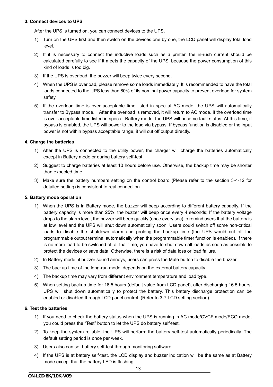#### **3. Connect devices to UPS**

After the UPS is turned on, you can connect devices to the UPS.

- 1) Turn on the UPS first and then switch on the devices one by one, the LCD panel will display total load level.
- 2) If it is necessary to connect the inductive loads such as a printer, the in-rush current should be calculated carefully to see if it meets the capacity of the UPS, because the power consumption of this kind of loads is too big.
- 3) If the UPS is overload, the buzzer will beep twice every second.
- 4) When the UPS is overload, please remove some loads immediately. It is recommended to have the total loads connected to the UPS less than 80% of its nominal power capacity to prevent overload for system safety.
- 5) If the overload time is over acceptable time listed in spec at AC mode, the UPS will automatically transfer to Bypass mode. After the overload is removed, it will return to AC mode. If the overload time is over acceptable time listed in spec at Battery mode, the UPS will become fault status. At this time, if bypass is enabled, the UPS will power to the load via bypass. If bypass function is disabled or the input power is not within bypass acceptable range, it will cut off output directly.

#### **4. Charge the batteries**

- 1) After the UPS is connected to the utility power, the charger will charge the batteries automatically except in Battery mode or during battery self-test.
- 2) Suggest to charge batteries at least 10 hours before use. Otherwise, the backup time may be shorter than expected time.
- 3) Make sure the battery numbers setting on the control board (Please refer to the section 3-4-12 for detailed setting) is consistent to real connection.

#### **5. Battery mode operation**

- 1) When the UPS is in Battery mode, the buzzer will beep according to different battery capacity. If the battery capacity is more than 25%, the buzzer will beep once every 4 seconds; If the battery voltage drops to the alarm level, the buzzer will beep quickly (once every sec) to remind users that the battery is at low level and the UPS will shut down automatically soon. Users could switch off some non-critical loads to disable the shutdown alarm and prolong the backup time (the UPS would cut off the programmable output terminal automatically when the programmable timer function is enabled). If there is no more load to be switched off at that time, you have to shut down all loads as soon as possible to protect the devices or save data. Otherwise, there is a risk of data loss or load failure.
- 2) In Battery mode, if buzzer sound annoys, users can press the Mute button to disable the buzzer.
- 3) The backup time of the long-run model depends on the external battery capacity.
- 4) The backup time may vary from different environment temperature and load type.
- 5) When setting backup time for 16.5 hours (default value from LCD panel), after discharging 16.5 hours, UPS will shut down automatically to protect the battery. This battery discharge protection can be enabled or disabled through LCD panel control. (Refer to 3-7 LCD setting section)

#### **6. Test the batteries**

- 1) If you need to check the battery status when the UPS is running in AC mode/CVCF mode/ECO mode, you could press the "Test" button to let the UPS do battery self-test.
- 2) To keep the system reliable, the UPS will perform the battery self-test automatically periodically. The default setting period is once per week.
- 3) Users also can set battery self-test through monitoring software.
- 4) If the UPS is at battery self-test, the LCD display and buzzer indication will be the same as at Battery mode except that the battery LED is flashing.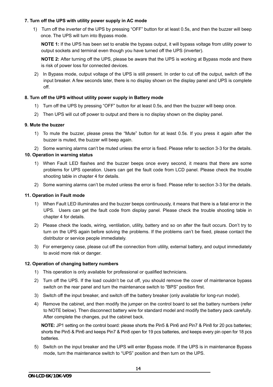#### **7. Turn off the UPS with utility power supply in AC mode**

1) Turn off the inverter of the UPS by pressing "OFF" button for at least 0.5s, and then the buzzer will beep once. The UPS will turn into Bypass mode.

**NOTE 1:** If the UPS has been set to enable the bypass output, it will bypass voltage from utility power to output sockets and terminal even though you have turned off the UPS (inverter).

**NOTE 2:** After turning off the UPS, please be aware that the UPS is working at Bypass mode and there is risk of power loss for connected devices.

2) In Bypass mode, output voltage of the UPS is still present. In order to cut off the output, switch off the input breaker. A few seconds later, there is no display shown on the display panel and UPS is complete off.

#### **8. Turn off the UPS without utility power supply in Battery mode**

- 1) Turn off the UPS by pressing "OFF" button for at least 0.5s, and then the buzzer will beep once.
- 2) Then UPS will cut off power to output and there is no display shown on the display panel.

#### **9. Mute the buzzer**

1) To mute the buzzer, please press the "Mute" button for at least 0.5s. If you press it again after the buzzer is muted, the buzzer will beep again.

2) Some warning alarms can't be muted unless the error is fixed. Please refer to section 3-3 for the details.

#### **10. Operation in warning status**

- 1) When Fault LED flashes and the buzzer beeps once every second, it means that there are some problems for UPS operation. Users can get the fault code from LCD panel. Please check the trouble shooting table in chapter 4 for details.
- 2) Some warning alarms can't be muted unless the error is fixed. Please refer to section 3-3 for the details.

#### **11. Operation in Fault mode**

- 1) When Fault LED illuminates and the buzzer beeps continuously, it means that there is a fatal error in the UPS. Users can get the fault code from display panel. Please check the trouble shooting table in chapter 4 for details.
- 2) Please check the loads, wiring, ventilation, utility, battery and so on after the fault occurs. Don't try to turn on the UPS again before solving the problems. If the problems can't be fixed, please contact the distributor or service people immediately.
- 3) For emergency case, please cut off the connection from utility, external battery, and output immediately to avoid more risk or danger.

#### **12. Operation of changing battery numbers**

- 1) This operation is only available for professional or qualified technicians.
- 2) Turn off the UPS. If the load couldn't be cut off, you should remove the cover of maintenance bypass switch on the rear panel and turn the maintenance switch to "BPS" position first.
- 3) Switch off the input breaker, and switch off the battery breaker (only available for long-run model).
- 4) Remove the cabinet, and then modify the jumper on the control board to set the battery numbers (refer to NOTE below). Then disconnect battery wire for standard model and modify the battery pack carefully. After complete the changes, put the cabinet back.

**NOTE:** JP1 setting on the control board: please shorts the Pin5 & Pin6 and Pin7 & Pin8 for 20 pcs batteries; shorts the Pin5 & Pin6 and keeps Pin7 & Pin8 open for 19 pcs batteries, and keeps every pin open for 18 pcs batteries.

5) Switch on the input breaker and the UPS will enter Bypass mode. If the UPS is in maintenance Bypass mode, turn the maintenance switch to "UPS" position and then turn on the UPS.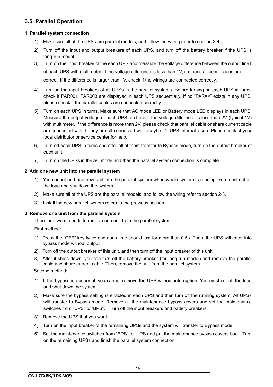# **3.5. Parallel Operation**

#### **1. Parallel system connection**

- 1) Make sure all of the UPSs are parallel models, and follow the wiring refer to section 2-4.
- 2) Turn off the input and output breakers of each UPS, and turn off the battery breaker if the UPS is long-run model.
- 3) Turn on the input breaker of the each UPS and measure the voltage difference between the output line1 of each UPS with multimeter. If the voltage difference is less than 1V, it means all connections are correct. If the difference is larger than 1V, check if the wirings are connected correctly.
- 4) Turn on the input breakers of all UPSs in the parallel systems. Before turning on each UPS in turns, check if PAR001~PAR003 are displayed in each UPS sequentially. If no "PAR××" exists in any UPS, please check if the parallel cables are connected correctly.
- 5) Turn on each UPS in turns. Make sure that AC mode LED or Battery mode LED displays in each UPS. Measure the output voltage of each UPS to check if the voltage difference is less than 2V (typical 1V) with multimeter. If the difference is more than 2V, please check that parallel cable or share current cable are connected well. If they are all connected well, maybe it's UPS internal issue. Please contact your local distributor or service center for help.
- 6) Turn off each UPS in turns and after all of them transfer to Bypass mode, turn on the output breaker of each unit.
- 7) Turn on the UPSs in the AC mode and then the parallel system connection is complete.

#### **2. Add one new unit into the parallel system**

- 1) You cannot add one new unit into the parallel system when whole system is running. You must cut off the load and shutdown the system.
- 2) Make sure all of the UPS are the parallel models, and follow the wiring refer to section 2-3.
- 3) Install the new parallel system refers to the previous section.

#### **3. Remove one unit from the parallel system**

There are two methods to remove one unit from the parallel system:

#### First method:

- 1) Press the "OFF" key twice and each time should last for more than 0.5s. Then, the UPS will enter into bypass mode without output.
- 2) Turn off the output breaker of this unit, and then turn off the input breaker of this unit.
- 3) After it shuts down, you can turn off the battery breaker (for long-run model) and remove the parallel cable and share current cable. Then, remove the unit from the parallel system.

#### Second method:

- 1) If the bypass is abnormal, you cannot remove the UPS without interruption. You must cut off the load and shut down the system.
- 2) Make sure the bypass setting is enabled in each UPS and then turn off the running system. All UPSs will transfer to Bypass mode. Remove all the maintenance bypass covers and set the maintenance switches from "UPS" to "BPS". Turn off the input breakers and battery breakers.
- 3) Remove the UPS that you want.
- 4) Turn on the input breaker of the remaining UPSs and the system will transfer to Bypass mode.
- 5) Set the maintenance switches from "BPS" to "UPS and put the maintenance bypass covers back. Turn on the remaining UPSs and finish the parallel system connection.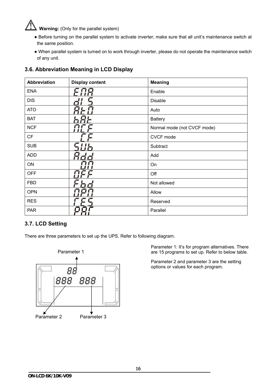# **Warning:** (Only for the parallel system)

- Before turning on the parallel system to activate inverter, make sure that all unit's maintenance switch at the same position.
- When parallel system is turned on to work through inverter, please do not operate the maintenance switch of any unit.

# **3.6. Abbreviation Meaning in LCD Display**

| <b>Abbreviation</b> | <b>Display content</b> | <b>Meaning</b>              |
|---------------------|------------------------|-----------------------------|
| <b>ENA</b>          |                        | Enable                      |
| <b>DIS</b>          |                        | Disable                     |
| <b>ATO</b>          |                        | Auto                        |
| <b>BAT</b>          |                        | <b>Battery</b>              |
| <b>NCF</b>          |                        | Normal mode (not CVCF mode) |
| CF                  |                        | CVCF mode                   |
| <b>SUB</b>          |                        | Subtract                    |
| <b>ADD</b>          |                        | Add                         |
| ON                  |                        | On                          |
| <b>OFF</b>          |                        | Off                         |
| <b>FBD</b>          |                        | Not allowed                 |
| <b>OPN</b>          |                        | Allow                       |
| <b>RES</b>          |                        | Reserved                    |
| <b>PAR</b>          |                        | Parallel                    |

# **3.7. LCD Setting**

There are three parameters to set up the UPS. Refer to following diagram.



Parameter 1: It's for program alternatives. There are 15 programs to set up. Refer to below table.

Parameter 2 and parameter 3 are the setting options or values for each program.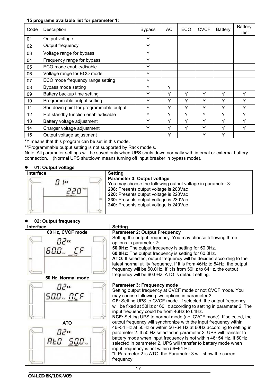#### **15 programs available list for parameter 1:**

| Code            | Description                            | <b>Bypass</b> | АC | ECO | <b>CVCF</b> | <b>Battery</b> | <b>Battery</b><br>Test |
|-----------------|----------------------------------------|---------------|----|-----|-------------|----------------|------------------------|
| 01              | Output voltage                         | Y             |    |     |             |                |                        |
| 02              | Output frequency                       | Y             |    |     |             |                |                        |
| 03              | Voltage range for bypass               | Y             |    |     |             |                |                        |
| 04              | Frequency range for bypass             | Y             |    |     |             |                |                        |
| 05              | ECO mode enable/disable                | Y             |    |     |             |                |                        |
| 06              | Voltage range for ECO mode             | Y             |    |     |             |                |                        |
| 07              | ECO mode frequency range setting       | Y             |    |     |             |                |                        |
| 08              | Bypass mode setting                    | Y             | Υ  |     |             |                |                        |
| 09              | Battery backup time setting            | Y             | Υ  | Υ   | Υ           | Y              | Y                      |
| 10              | Programmable output setting            | Υ             | Υ  | Υ   | Υ           | Υ              | ٧                      |
| 11              | Shutdown point for programmable output | Y             | Υ  | Υ   | Υ           | Υ              | v                      |
| 12 <sup>2</sup> | Hot standby function enable/disable    | Υ             | Υ  | Υ   | Υ           | Υ              | Υ                      |
| 13              | Battery voltage adjustment             | Y             | Υ  | Y   | Y           | Y              | ٧                      |
| 14              | Charger voltage adjustment             | Υ             | Υ  | Υ   | Υ           | Υ              | Υ                      |
| 15              | Output voltage adjustment              |               | Y  |     | Y           | Y              |                        |

\*Y means that this program can be set in this mode.

\*\*Programmable output setting is not supported by Rack models.

Note: All parameter settings will be saved only when UPS shuts down normally with internal or external battery connection. (Normal UPS shutdown means turning off input breaker in bypass mode).

### **01: Output voltage**

| <b>Interface</b> | <b>Setting</b>                                                                                                                                                                                                                                                     |
|------------------|--------------------------------------------------------------------------------------------------------------------------------------------------------------------------------------------------------------------------------------------------------------------|
|                  | Parameter 3: Output voltage<br>You may choose the following output voltage in parameter 3:<br>208: Presents output voltage is 208Vac<br>220: Presents output voltage is 220Vac<br>230: Presents output voltage is 230Vac<br>240: Presents output voltage is 240Vac |

#### **02: Output frequency**

| Interface                           | <b>Setting</b>                                                                                                                                                                                                                                                                                                                                                                                                                                                      |
|-------------------------------------|---------------------------------------------------------------------------------------------------------------------------------------------------------------------------------------------------------------------------------------------------------------------------------------------------------------------------------------------------------------------------------------------------------------------------------------------------------------------|
| 60 Hz, CVCF mode<br>82«<br>600… CF  | <b>Parameter 2: Output Frequency</b><br>Setting the output frequency. You may choose following three<br>options in parameter 2:<br>50.0Hz: The output frequency is setting for 50.0Hz.<br>60.0Hz: The output frequency is setting for 60.0Hz.<br>ATO: If selected, output frequency will be decided according to the<br>latest normal utility frequency. If it is from 46Hz to 54Hz, the output<br>frequency will be 50.0Hz. If it is from 56Hz to 64Hz, the output |
| 50 Hz, Normal mode                  | frequency will be 60.0Hz. ATO is default setting.                                                                                                                                                                                                                                                                                                                                                                                                                   |
| <b>D</b> P«<br>500 <sub>m</sub> በርF | Parameter 3: Frequency mode<br>Setting output frequency at CVCF mode or not CVCF mode. You<br>may choose following two options in parameter 3:<br>CF: Setting UPS to CVCF mode. If selected, the output frequency<br>will be fixed at 50Hz or 60Hz according to setting in parameter 2. The<br>input frequency could be from 46Hz to 64Hz.<br><b>NCF:</b> Setting UPS to normal mode (not CVCF mode). If selected, the                                              |
| <b>ATO</b>                          | output frequency will synchronize with the input frequency within                                                                                                                                                                                                                                                                                                                                                                                                   |
| <b>D2«</b><br>RŁO                   | 46~54 Hz at 50Hz or within 56~64 Hz at 60Hz according to setting in<br>parameter 2. If 50 Hz selected in parameter 2, UPS will transfer to<br>battery mode when input frequency is not within 46~54 Hz. If 60Hz<br>selected in parameter 2, UPS will transfer to battery mode when<br>input frequency is not within 56~64 Hz.<br>*If Parameter 2 is ATO, the Parameter 3 will show the current<br>frequency.                                                        |
|                                     | 17                                                                                                                                                                                                                                                                                                                                                                                                                                                                  |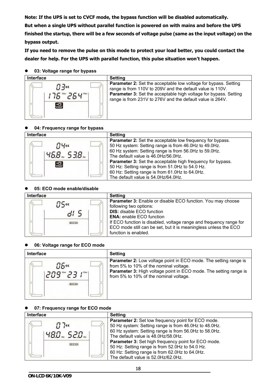**Note: If the UPS is set to CVCF mode, the bypass function will be disabled automatically. But when a single UPS without parallel function is powered on with mains and before the UPS finished the startup, there will be a few seconds of voltage pulse (same as the input voltage) on the bypass output.** 

**If you need to remove the pulse on this mode to protect your load better, you could contact the dealer for help. For the UPS with parallel function, this pulse situation won't happen.** 

#### **03: Voltage range for bypass**



#### **04: Frequency range for bypass**



#### **05: ECO mode enable/disable**



| Setting                                                            |
|--------------------------------------------------------------------|
| Parameter 3: Enable or disable ECO function. You may choose        |
| following two options:                                             |
| <b>DIS:</b> disable ECO function                                   |
| <b>ENA:</b> enable ECO function                                    |
| If ECO function is disabled, voltage range and frequency range for |
| ECO mode still can be set, but it is meaningless unless the ECO    |
| function is enabled.                                               |
|                                                                    |

### **06: Voltage range for ECO mode**

| <b>Interface</b>    | <b>Setting</b>                                                                                                                                                                                                                          |
|---------------------|-----------------------------------------------------------------------------------------------------------------------------------------------------------------------------------------------------------------------------------------|
| <b>175«</b><br>ECO) | <b>Parameter 2:</b> Low voltage point in ECO mode. The setting range is<br>from 5% to 10% of the nominal voltage.<br><b>Parameter 3: High voltage point in ECO mode. The setting range is</b><br>from 5% to 10% of the nominal voltage. |

### **07: Frequency range for ECO mode**

| <b>Interface</b> | <b>Setting</b>                                                                                                                                                                                                                                                                                                                                                                                                        |
|------------------|-----------------------------------------------------------------------------------------------------------------------------------------------------------------------------------------------------------------------------------------------------------------------------------------------------------------------------------------------------------------------------------------------------------------------|
| (ECO)            | Parameter 2: Set low frequency point for ECO mode.<br>50 Hz system: Setting range is from 46.0Hz to 48.0Hz.<br>60 Hz system: Setting range is from 56.0Hz to 58.0Hz.<br>The default value is 48.0Hz/58.0Hz.<br><b>Parameter 3: Set high frequency point for ECO mode.</b><br>50 Hz: Setting range is from 52.0Hz to 54.0 Hz.<br>60 Hz: Setting range is from 62.0Hz to 64.0Hz.<br>The default value is 52.0Hz/62.0Hz. |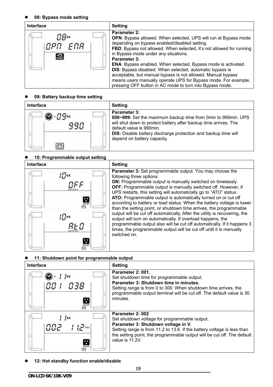#### **08: Bypass mode setting**

| Interface                     | <b>Setting</b>                                                                                                                                                                                                                                                                                                                                                                                                                                                                                                                                                                                                  |
|-------------------------------|-----------------------------------------------------------------------------------------------------------------------------------------------------------------------------------------------------------------------------------------------------------------------------------------------------------------------------------------------------------------------------------------------------------------------------------------------------------------------------------------------------------------------------------------------------------------------------------------------------------------|
| NPN FNR<br>$rac{1}{\sqrt{2}}$ | <b>Parameter 2:</b><br>OPN: Bypass allowed. When selected, UPS will run at Bypass mode<br>depending on bypass enabled/disabled setting.<br>FBD: Bypass not allowed. When selected, it's not allowed for running<br>in Bypass mode under any situations.<br><b>Parameter 3:</b><br><b>ENA:</b> Bypass enabled. When selected, Bypass mode is activated.<br>DIS: Bypass disabled. When selected, automatic bypass is<br>acceptable, but manual bypass is not allowed. Manual bypass<br>means users manually operate UPS for Bypass mode. For example,<br>pressing OFF button in AC mode to turn into Bypass mode. |

#### **09: Battery backup time setting**

| <b>Interface</b> | <b>Setting</b>                                                                                                                                                                                                                                                                               |
|------------------|----------------------------------------------------------------------------------------------------------------------------------------------------------------------------------------------------------------------------------------------------------------------------------------------|
|                  | <b>Parameter 3:</b><br>000~999: Set the maximum backup time from 0min to 999min. UPS<br>will shut down to protect battery after backup time arrives. The<br>default value is 990min.<br><b>DIS:</b> Disable battery discharge protection and backup time will<br>depend on battery capacity. |

#### **10: Programmable output setting**



**Parameter 3:** Set programmable output. You may choose the following three options: **ON:** Programmable output is manually switched on timelessly. **OFF:** Programmable output is manually switched off. However, if UPS restarts, this setting will automatically go to "ATO" status. **ATO:** Programmable output is automatically turned on or cut off according to battery or load status. When the battery voltage is lower than the setting point, or shutdown time arrives, the programmable output will be cut off automatically. After the utility is recovering, the output will turn on automatically. If overload happens, the programmable output also will be cut off automatically. If it happens 3 times, the programmable output will be cut off until it is manually switched on.

### **11: Shutdown point for programmable output**

| Interface              | <b>Setting</b>                                                                                                                                                                                                                                                                    |
|------------------------|-----------------------------------------------------------------------------------------------------------------------------------------------------------------------------------------------------------------------------------------------------------------------------------|
| ч<br>$\overline{O/P}$  | Parameter 2: 001.<br>Set shutdown time for programmable output.<br>Parameter 3: Shutdown time in minutes.<br>Setting range is from 0 to 300. When shutdown time arrives, the<br>programmable output terminal will be cut off. The default value is 30<br>minutes.                 |
| ¦<<<br>שטט<br>н<br>Q/P | Parameter 2: 002<br>Set shutdown voltage for programmable output.<br>Parameter 3: Shutdown voltage in V.<br>Setting range is from 11.2 to 13.6. If the battery voltage is less than<br>the setting point, the programmable output will be cut off. The default<br>value is 11.2V. |

**12: Hot standby function enable/disable**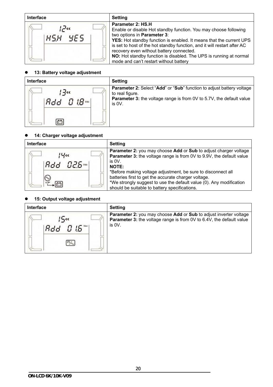| Interface         | <b>Setting</b>                                                                                                                                                                                                                                                                                                                                                                                                                      |
|-------------------|-------------------------------------------------------------------------------------------------------------------------------------------------------------------------------------------------------------------------------------------------------------------------------------------------------------------------------------------------------------------------------------------------------------------------------------|
| ی آبر!<br>858 YES | Parameter 2: HS.H<br>Enable or disable Hot standby function. You may choose following<br>two options in Parameter 3:<br>YES: Hot standby function is enabled. It means that the current UPS<br>is set to host of the hot standby function, and it will restart after AC<br>recovery even without battery connected.<br>NO: Hot standby function is disabled. The UPS is running at normal<br>mode and can't restart without battery |

#### **13: Battery voltage adjustment**



#### **14: Charger voltage adjustment**

| <b>Interface</b> | Setting                                                                                                                                                                                                                                                                                                                                                                                                                             |
|------------------|-------------------------------------------------------------------------------------------------------------------------------------------------------------------------------------------------------------------------------------------------------------------------------------------------------------------------------------------------------------------------------------------------------------------------------------|
| Bdd B25          | <b>Parameter 2: you may choose Add or Sub to adjust charger voltage</b><br><b>Parameter 3:</b> the voltage range is from 0V to 9.9V, the default value<br>is $0V$ .<br><b>NOTE:</b><br>*Before making voltage adjustment, be sure to disconnect all<br>batteries first to get the accurate charger voltage.<br>*We strongly suggest to use the default value (0). Any modification<br>should be suitable to battery specifications. |

#### **15: Output voltage adjustment**

| <b>Interface</b> | <b>Setting</b>                                                                                                                                                       |
|------------------|----------------------------------------------------------------------------------------------------------------------------------------------------------------------|
| 'Add Ol6™l       | <b>Parameter 2:</b> you may choose Add or Sub to adjust inverter voltage<br><b>Parameter 3:</b> the voltage range is from 0V to 6.4V, the default value<br>is $0V$ . |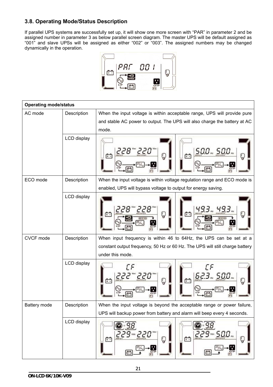# **3.8. Operating Mode/Status Description**

If parallel UPS systems are successfully set up, it will show one more screen with "PAR" in parameter 2 and be assigned number in parameter 3 as below parallel screen diagram. The master UPS will be default assigned as "001" and slave UPSs will be assigned as either "002" or "003". The assigned numbers may be changed dynamically in the operation.



| <b>Operating mode/status</b> |             |                                                                                      |  |  |  |  |
|------------------------------|-------------|--------------------------------------------------------------------------------------|--|--|--|--|
| AC mode                      | Description | When the input voltage is within acceptable range, UPS will provide pure             |  |  |  |  |
|                              |             | and stable AC power to output. The UPS will also charge the battery at AC            |  |  |  |  |
|                              |             | mode.                                                                                |  |  |  |  |
|                              | LCD display | 500 - 500 -<br>228<br>2 C U<br>r÷<br>္မ                                              |  |  |  |  |
| ECO mode                     | Description | When the input voltage is within voltage regulation range and ECO mode is            |  |  |  |  |
|                              |             | enabled, UPS will bypass voltage to output for energy saving.                        |  |  |  |  |
|                              | LCD display | Q<br>ECO<br>v                                                                        |  |  |  |  |
| CVCF mode                    | Description | When input frequency is within 46 to 64Hz, the UPS can be set at a                   |  |  |  |  |
|                              |             | constant output frequency, 50 Hz or 60 Hz. The UPS will still charge battery         |  |  |  |  |
|                              |             | under this mode.                                                                     |  |  |  |  |
|                              | LCD display | ΓF<br>ΓF<br>623 SOO<br>Ç<br>r٩<br>$+ -$                                              |  |  |  |  |
| Battery mode                 | Description | When the input voltage is beyond the acceptable range or power failure,              |  |  |  |  |
|                              |             | UPS will backup power from battery and alarm will beep every 4 seconds.              |  |  |  |  |
|                              | LCD display | 229…500…<br>ט <i>ב</i> י <sub>צי</sub> פ כ<br>Q<br>帶<br>的<br>Ç<br>B<br>Ò<br>O/I<br>e |  |  |  |  |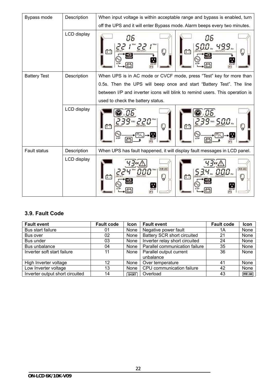| Bypass mode         | Description | When input voltage is within acceptable range and bypass is enabled, turn    |  |  |  |  |
|---------------------|-------------|------------------------------------------------------------------------------|--|--|--|--|
|                     |             | off the UPS and it will enter Bypass mode. Alarm beeps every two minutes.    |  |  |  |  |
|                     | LCD display | 86<br>86<br>Q<br>$\sqrt{2}$<br>$+ -$<br><b>STARS</b><br>Ŧ<br>11              |  |  |  |  |
| <b>Battery Test</b> | Description | When UPS is in AC mode or CVCF mode, press "Test" key for more than          |  |  |  |  |
|                     |             | 0.5s. Then the UPS will beep once and start "Battery Test". The line         |  |  |  |  |
|                     |             | between I/P and inverter icons will blink to remind users. This operation is |  |  |  |  |
|                     |             | used to check the battery status.                                            |  |  |  |  |
|                     | LCD display | f÷"<br>Ç<br>$+ -$<br>ç<br>$\overline{UP}$                                    |  |  |  |  |
| <b>Fault status</b> | Description | When UPS has fault happened, it will display fault messages in LCD panel.    |  |  |  |  |
|                     | LCD display | WER LOAD<br><b>DVIR LOAD</b><br>Q<br>Ë<br>Ų<br>e.                            |  |  |  |  |

# **3.9. Fault Code**

| <b>Fault event</b>              | <b>Fault code</b> | <b>Icon</b>  | <b>Fault event</b>                 | <b>Fault code</b> | Icon      |
|---------------------------------|-------------------|--------------|------------------------------------|-------------------|-----------|
| Bus start failure               | 01                | None         | Negative power fault               | 1Α                | None      |
| Bus over                        | 02                | None         | <b>Battery SCR short circuited</b> | 21                | None      |
| Bus under                       | 03                | None         | Inverter relay short circuited     | 24                | None      |
| Bus unbalance                   | 04                | None         | Parallel communication failure     | 35                | None      |
| Inverter soft start failure     | 11                | None         | Parallel output current            | 36                | None      |
|                                 |                   |              | unbalance                          |                   |           |
| High Inverter voltage           | 12                | None         | Over temperature                   | 41                | None      |
| Low Inverter voltage            | 13                | None         | CPU communication failure          | 42                | None      |
| Inverter output short circuited | 14                | <b>SHORT</b> | Overload                           | 43                | OVER LOAD |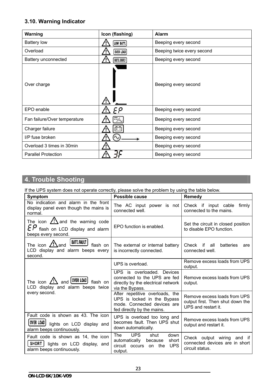# **3.10. Warning Indicator**

| <b>Warning</b>               | Icon (flashing) | Alarm                      |
|------------------------------|-----------------|----------------------------|
| <b>Battery low</b>           | LOW BATT.       | Beeping every second       |
| Overload                     | OVER LOAD       | Beeping twice every second |
| Battery unconnected          | BATT. FAULT     | Beeping every second       |
| Over charge                  |                 | Beeping every second       |
| EPO enable                   | сρ              | Beeping every second       |
| Fan failure/Over temperature |                 | Beeping every second       |
| Charger failure              | + -             | Beeping every second       |
| I/P fuse broken              |                 | Beeping every second       |
| Overload 3 times in 30min    |                 | Beeping every second       |
| <b>Parallel Protection</b>   |                 | Beeping every second       |

# **4. Trouble Shooting**

If the UPS system does not operate correctly, please solve the problem by using the table below.

| <b>Symptom</b>                                                                                                      | Possible cause                                                                                                              | <b>Remedy</b>                                                                           |
|---------------------------------------------------------------------------------------------------------------------|-----------------------------------------------------------------------------------------------------------------------------|-----------------------------------------------------------------------------------------|
| No indication and alarm in the front<br>display panel even though the mains is<br>normal.                           | The AC input power is not<br>connected well.                                                                                | Check if input cable firmly<br>connected to the mains.                                  |
| The icon $\angle$ ! and the warning code<br>flash on LCD display and alarm<br>beeps every second.                   | EPO function is enabled.                                                                                                    | Set the circuit in closed position<br>to disable EPO function.                          |
| <b>BATT, FAULT</b><br>The icon $\sqrt{2}$ and<br>flash on<br>LCD display and alarm beeps every<br>second.           | The external or internal battery<br>is incorrectly connected.                                                               | Check if all<br>batteries<br>are<br>connected well.                                     |
| and <b>OVER LOAD</b><br>The icon $\sqrt{!}\Delta$<br>flash on<br>LCD display and alarm beeps twice<br>every second. | UPS is overload.                                                                                                            | Remove excess loads from UPS<br>output.                                                 |
|                                                                                                                     | UPS is overloaded. Devices<br>connected to the UPS are fed<br>directly by the electrical network<br>via the Bypass.         | Remove excess loads from UPS<br>output.                                                 |
|                                                                                                                     | After repetitive overloads, the<br>UPS is locked in the Bypass<br>mode. Connected devices are<br>fed directly by the mains. | Remove excess loads from UPS<br>output first. Then shut down the<br>UPS and restart it. |
| Fault code is shown as 43. The icon<br>OVER LOAD<br>lights on LCD display and<br>alarm beeps continuously.          | UPS is overload too long and<br>becomes fault. Then UPS shut<br>down automatically.                                         | Remove excess loads from UPS<br>output and restart it.                                  |
| Fault code is shown as 14, the icon<br><b>SHORT</b><br>lights on LCD display, and<br>alarm beeps continuously.      | <b>UPS</b><br>The<br>shut<br>down<br>automatically<br>short<br>because<br><b>UPS</b><br>circuit occurs<br>on the<br>output. | Check output wiring and if<br>connected devices are in short<br>circuit status.         |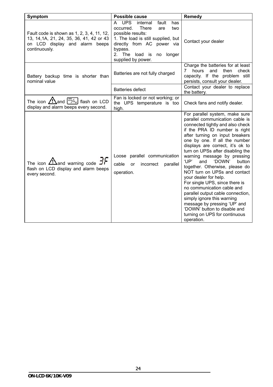| Symptom                                                                                                                                   | Possible cause                                                                                                                                                                                                                              | Remedy                                                                                                                                                                                                                                                                                                                                                                                                                                                                                                                                                                                                                                                                                            |
|-------------------------------------------------------------------------------------------------------------------------------------------|---------------------------------------------------------------------------------------------------------------------------------------------------------------------------------------------------------------------------------------------|---------------------------------------------------------------------------------------------------------------------------------------------------------------------------------------------------------------------------------------------------------------------------------------------------------------------------------------------------------------------------------------------------------------------------------------------------------------------------------------------------------------------------------------------------------------------------------------------------------------------------------------------------------------------------------------------------|
| Fault code is shown as 1, 2, 3, 4, 11, 12,<br>13, 14, 1A, 21, 24, 35, 36, 41, 42 or 43<br>on LCD display and alarm beeps<br>continuously. | A UPS<br>internal<br>fault<br>has<br><b>There</b><br>occurred.<br>are<br>two<br>possible results:<br>1. The load is still supplied, but<br>directly from AC power via<br>bypass.<br>2. The<br>load is<br>longer<br>no<br>supplied by power. | Contact your dealer                                                                                                                                                                                                                                                                                                                                                                                                                                                                                                                                                                                                                                                                               |
| Battery backup time is shorter than<br>nominal value                                                                                      | Batteries are not fully charged                                                                                                                                                                                                             | Charge the batteries for at least<br>7<br>hours<br>and<br>then<br>check<br>capacity. If the problem still<br>persists, consult your dealer.                                                                                                                                                                                                                                                                                                                                                                                                                                                                                                                                                       |
|                                                                                                                                           | <b>Batteries defect</b>                                                                                                                                                                                                                     | Contact your dealer to replace<br>the battery.                                                                                                                                                                                                                                                                                                                                                                                                                                                                                                                                                                                                                                                    |
| The icon $\sqrt{!}$ and $\sqrt{!}$ flash on LCD<br>display and alarm beeps every second.                                                  | Fan is locked or not working; or<br>the UPS temperature is too<br>high.                                                                                                                                                                     | Check fans and notify dealer.                                                                                                                                                                                                                                                                                                                                                                                                                                                                                                                                                                                                                                                                     |
| The icon $\sum_{n=1}^{\infty}$ and warning code $\exists r$<br>flash on LCD display and alarm beeps<br>every second.                      | Loose parallel communication<br>cable<br>or<br>incorrect<br>parallel<br>operation.                                                                                                                                                          | For parallel system, make sure<br>parallel communication cable is<br>connected tightly and also check<br>if the PRA ID number is right<br>after turning on input breakers<br>one by one. If all the number<br>displays are correct, it's ok to<br>turn on UPSs after disabling the<br>warning message by pressing<br>'UP'<br>and<br>'DOWN'<br>button<br>together. Otherwise, please do<br>NOT turn on UPSs and contact<br>your dealer for help.<br>For single UPS, since there is<br>no communication cable and<br>parallel output cable connection,<br>simply ignore this warning<br>message by pressing 'UP' and<br>'DOWN' button to disable and<br>turning on UPS for continuous<br>operation. |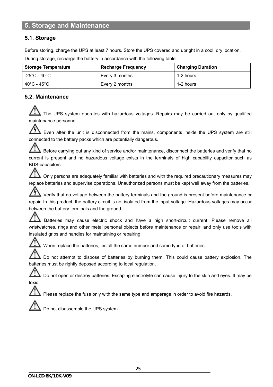# **5. Storage and Maintenance**

# **5.1. Storage**

Before storing, charge the UPS at least 7 hours. Store the UPS covered and upright in a cool, dry location.

| <b>Storage Temperature</b> | <b>Recharge Frequency</b> | <b>Charging Duration</b> |
|----------------------------|---------------------------|--------------------------|
| -25°C - 40°C               | Every 3 months            | 1-2 hours                |
| 40°C - 45°C $\,$           | Every 2 months            | 1-2 hours                |

During storage, recharge the battery in accordance with the following table:

# **5.2. Maintenance**

The UPS system operates with hazardous voltages. Repairs may be carried out only by qualified maintenance personnel.

仱  $\blacktriangle$  Even after the unit is disconnected from the mains, components inside the UPS system are still connected to the battery packs which are potentially dangerous.

Before carrying out any kind of service and/or maintenance, disconnect the batteries and verify that no current is present and no hazardous voltage exists in the terminals of high capability capacitor such as BUS-capacitors.

 $\blacktriangle$  Only persons are adequately familiar with batteries and with the required precautionary measures may replace batteries and supervise operations. Unauthorized persons must be kept well away from the batteries.

 Verify that no voltage between the battery terminals and the ground is present before maintenance or repair. In this product, the battery circuit is not isolated from the input voltage. Hazardous voltages may occur between the battery terminals and the ground.

 Batteries may cause electric shock and have a high short-circuit current. Please remove all wristwatches, rings and other metal personal objects before maintenance or repair, and only use tools with insulated grips and handles for maintaining or repairing.

When replace the batteries, install the same number and same type of batteries.

Do not attempt to dispose of batteries by burning them. This could cause battery explosion. The batteries must be rightly deposed according to local regulation.

 Do not open or destroy batteries. Escaping electrolyte can cause injury to the skin and eyes. It may be toxic.

Please replace the fuse only with the same type and amperage in order to avoid fire hazards.



Do not disassemble the UPS system.